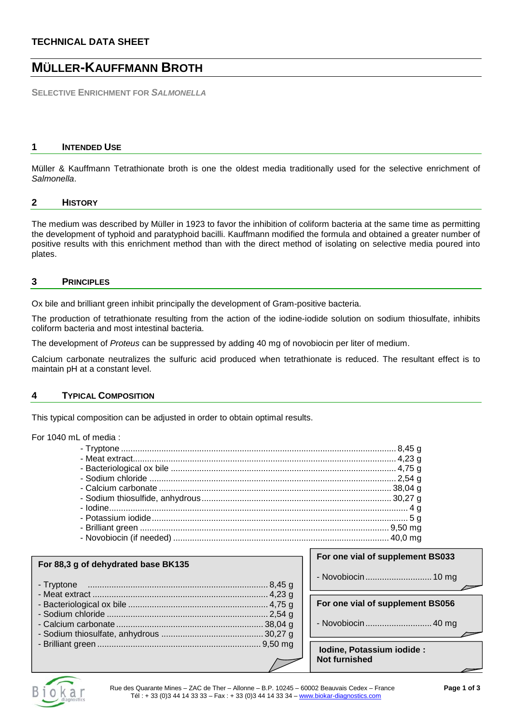# **TECHNICAL DATA SHEET**

# **MÜLLER-KAUFFMANN BROTH**

**SELECTIVE ENRICHMENT FOR** *SALMONELLA*

### **1 INTENDED USE**

Müller & Kauffmann Tetrathionate broth is one the oldest media traditionally used for the selective enrichment of *Salmonella*.

#### **2 HISTORY**

The medium was described by Müller in 1923 to favor the inhibition of coliform bacteria at the same time as permitting the development of typhoid and paratyphoid bacilli. Kauffmann modified the formula and obtained a greater number of positive results with this enrichment method than with the direct method of isolating on selective media poured into plates.

### **3 PRINCIPLES**

Ox bile and brilliant green inhibit principally the development of Gram-positive bacteria.

The production of tetrathionate resulting from the action of the iodine-iodide solution on sodium thiosulfate, inhibits coliform bacteria and most intestinal bacteria.

The development of *Proteus* can be suppressed by adding 40 mg of novobiocin per liter of medium.

Calcium carbonate neutralizes the sulfuric acid produced when tetrathionate is reduced. The resultant effect is to maintain pH at a constant level.

#### **4 TYPICAL COMPOSITION**

This typical composition can be adjusted in order to obtain optimal results.

For 1040 mL of media :

| For one vial of supplement BS033                   |  |
|----------------------------------------------------|--|
|                                                    |  |
| For one vial of supplement BS056                   |  |
|                                                    |  |
| Iodine, Potassium iodide :<br><b>Not furnished</b> |  |

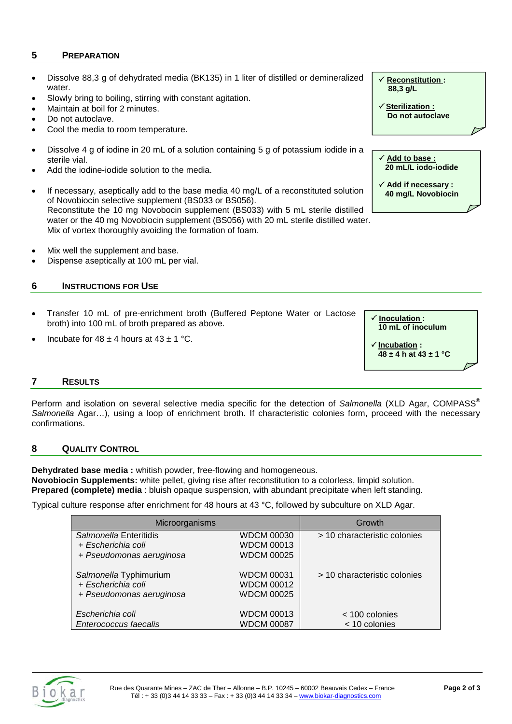# **5 PREPARATION**

- Dissolve 88,3 g of dehydrated media (BK135) in 1 liter of distilled or demineralized water.
- Slowly bring to boiling, stirring with constant agitation.
- Maintain at boil for 2 minutes.
- Do not autoclave.
- Cool the media to room temperature.
- Dissolve 4 g of iodine in 20 mL of a solution containing 5 g of potassium iodide in a sterile vial.
- Add the iodine-iodide solution to the media.
- If necessary, aseptically add to the base media 40 mg/L of a reconstituted solution of Novobiocin selective supplement (BS033 or BS056). Reconstitute the 10 mg Novobocin supplement (BS033) with 5 mL sterile distilled water or the 40 mg Novobiocin supplement (BS056) with 20 mL sterile distilled water. Mix of vortex thoroughly avoiding the formation of foam.
- Mix well the supplement and base.
- Dispense aseptically at 100 mL per vial.

# **6 INSTRUCTIONS FOR USE**

- Transfer 10 mL of pre-enrichment broth (Buffered Peptone Water or Lactose broth) into 100 mL of broth prepared as above.
- Incubate for  $48 \pm 4$  hours at  $43 \pm 1$  °C.

# **Inoculation : 10 mL of inoculum**

#### **Incubation : 48 ± 4 h at 43 ± 1 °C**

# **7 RESULTS**

Perform and isolation on several selective media specific for the detection of *Salmonella* (XLD Agar, COMPASS® *Salmonella* Agar…), using a loop of enrichment broth. If characteristic colonies form, proceed with the necessary confirmations.

# **8 QUALITY CONTROL**

**Dehydrated base media :** whitish powder, free-flowing and homogeneous. **Novobiocin Supplements:** white pellet, giving rise after reconstitution to a colorless, limpid solution. **Prepared (complete) media** : bluish opaque suspension, with abundant precipitate when left standing.

Typical culture response after enrichment for 48 hours at 43 °C, followed by subculture on XLD Agar.

| Microorganisms                                                           |                                                             | Growth                          |
|--------------------------------------------------------------------------|-------------------------------------------------------------|---------------------------------|
| Salmonella Enteritidis<br>+ Escherichia coli<br>+ Pseudomonas aeruginosa | <b>WDCM 00030</b><br><b>WDCM 00013</b><br><b>WDCM 00025</b> | > 10 characteristic colonies    |
| Salmonella Typhimurium<br>+ Escherichia coli<br>+ Pseudomonas aeruginosa | <b>WDCM 00031</b><br><b>WDCM 00012</b><br><b>WDCM 00025</b> | > 10 characteristic colonies    |
| Escherichia coli<br>Enterococcus faecalis                                | <b>WDCM 00013</b><br><b>WDCM 00087</b>                      | < 100 colonies<br>< 10 colonies |



 **Reconstitution : 88,3 g/L**

 **Sterilization : Do not autoclave**